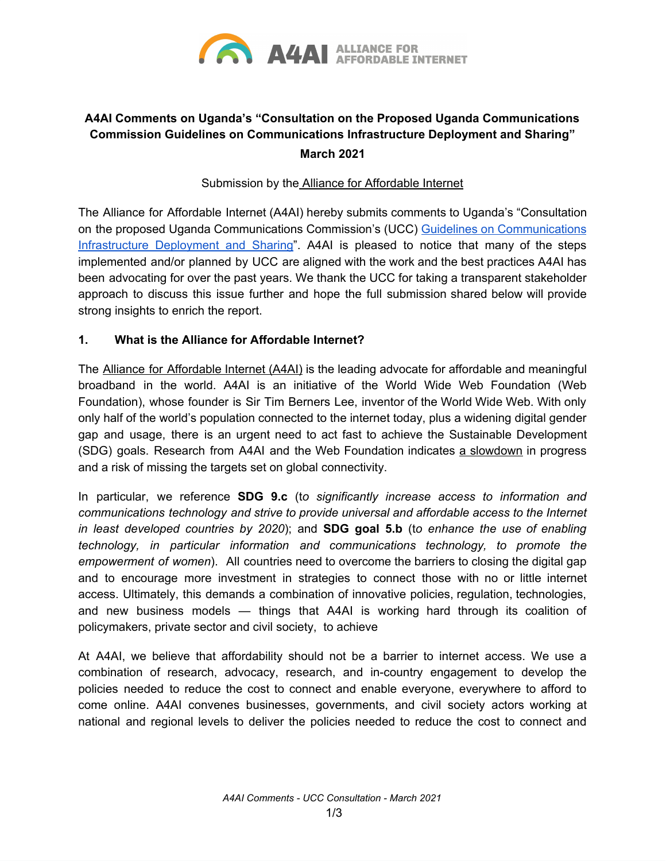

# **A4AI Comments on Uganda's "Consultation on the Proposed Uganda Communications Commission Guidelines on Communications Infrastructure Deployment and Sharing" March 2021**

#### Submission by the Alliance for [Affordable](http://a4ai.org/) Internet

The Alliance for Affordable Internet (A4AI) hereby submits comments to Uganda's "Consultation on the proposed Uganda Communications Commission's (UCC) Guidelines on [Communications](https://www.ucc.co.ug/wp-content/uploads/2021/03/Guidelines-on-Infrastructure-Deployment-and-sharing-consultation.pdf) [Infrastructure](https://www.ucc.co.ug/wp-content/uploads/2021/03/Guidelines-on-Infrastructure-Deployment-and-sharing-consultation.pdf) Deployment and Sharing". A4AI is pleased to notice that many of the steps implemented and/or planned by UCC are aligned with the work and the best practices A4AI has been advocating for over the past years. We thank the UCC for taking a transparent stakeholder approach to discuss this issue further and hope the full submission shared below will provide strong insights to enrich the report.

## **1. What is the Alliance for Affordable Internet?**

The Alliance for [Affordable](http://www.a4ai.org/) Internet (A4AI) is the leading advocate for affordable and meaningful broadband in the world. A4AI is an initiative of the World Wide Web Foundation (Web Foundation), whose founder is Sir Tim Berners Lee, inventor of the World Wide Web. With only only half of the world's population connected to the internet today, plus a widening digital gender gap and usage, there is an urgent need to act fast to achieve the Sustainable Development (SDG) goals. Research from A4AI and the Web Foundation indicates a [slowdown](https://a4ai.org/as-internet-access-proves-critical-we-are-missing-targets-to-connect-everyone/) in progress and a risk of missing the targets set on global connectivity.

In particular, we reference **SDG 9.c** (t*o significantly increase access to information and communications technology and strive to provide universal and affordable access to the Internet in least developed countries by 2020*); and **SDG goal 5.b** (t*o enhance the use of enabling technology, in particular information and communications technology, to promote the empowerment of women*). All countries need to overcome the barriers to closing the digital gap and to encourage more investment in strategies to connect those with no or little internet access. Ultimately, this demands a combination of innovative policies, regulation, technologies, and new business models — things that A4AI is working hard through its coalition of policymakers, private sector and civil society, to achieve

At A4AI, we believe that affordability should not be a barrier to internet access. We use a combination of research, advocacy, research, and in-country engagement to develop the policies needed to reduce the cost to connect and enable everyone, everywhere to afford to come online. A4AI convenes businesses, governments, and civil society actors working at national and regional levels to deliver the policies needed to reduce the cost to connect and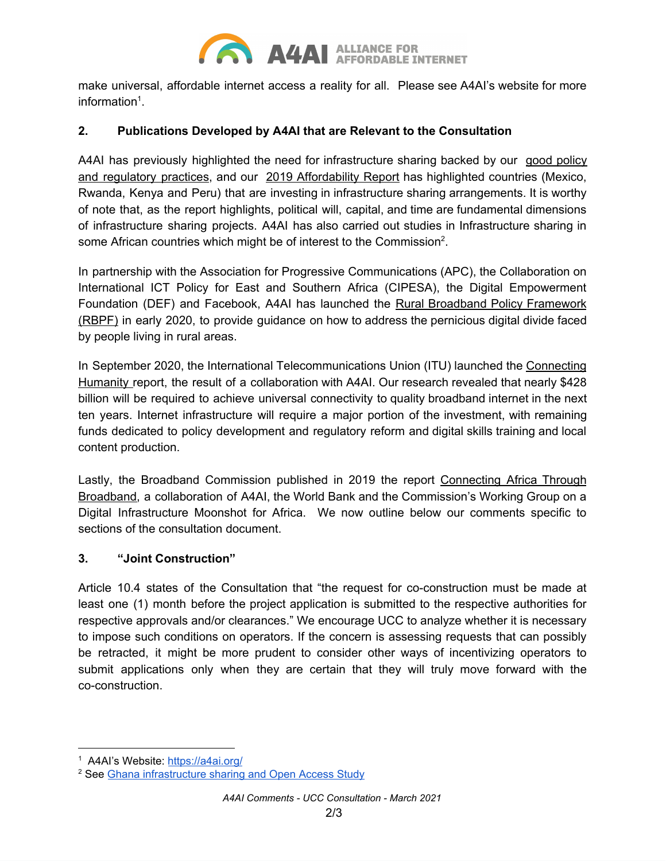

make universal, affordable internet access a reality for all. Please see A4AI's website for more information $1$ .

## **2. Publications Developed by A4AI that are Relevant to the Consultation**

A4AI has previously highlighted the need for infrastructure sharing backed by our good [policy](https://a4ai.org/good-practices-database/?terms=infrastructure-sharing) and [regulatory](https://a4ai.org/good-practices-database/?terms=infrastructure-sharing) practices, and our 2019 [Affordability](https://a4ai.org/affordability-report/report/2019/) Report has highlighted countries (Mexico, Rwanda, Kenya and Peru) that are investing in infrastructure sharing arrangements. It is worthy of note that, as the report highlights, political will, capital, and time are fundamental dimensions of infrastructure sharing projects. A4AI has also carried out studies in Infrastructure sharing in some African countries which might be of interest to the Commission<sup>2</sup>.

In partnership with the Association for Progressive Communications (APC), the Collaboration on International ICT Policy for East and Southern Africa (CIPESA), the Digital Empowerment Foundation (DEF) and Facebook, A4AI has launched th[e](https://1e8q3q16vyc81g8l3h3md6q5f5e-wpengine.netdna-ssl.com/wp-content/uploads/2020/02/Rural-Broadband-Policy-Framework-Report-web-ready.pdf) Rural Broadband Policy [Framework](https://1e8q3q16vyc81g8l3h3md6q5f5e-wpengine.netdna-ssl.com/wp-content/uploads/2020/02/Rural-Broadband-Policy-Framework-Report-web-ready.pdf) [\(RBPF\)](https://1e8q3q16vyc81g8l3h3md6q5f5e-wpengine.netdna-ssl.com/wp-content/uploads/2020/02/Rural-Broadband-Policy-Framework-Report-web-ready.pdf) in early 2020, to provide guidance on how to address the pernicious digital divide faced by people living in rural areas.

In September 2020, the International Telecommunications Union (ITU) launched the [Connecting](https://www.itu.int/en/myitu/Publications/2020/08/31/08/38/Connecting-Humanity) [Humanity](https://www.itu.int/en/myitu/Publications/2020/08/31/08/38/Connecting-Humanity) report, the result of a collaboration with A4AI. Our research revealed that nearly \$428 billion will be required to achieve universal connectivity to quality broadband internet in the next ten years. Internet infrastructure will require a major portion of the investment, with remaining funds dedicated to policy development and regulatory reform and digital skills training and local content production.

Lastly, the Broadband Commission published in 2019 the report [Connecting](https://www.broadbandcommission.org/Documents/working-groups/DigitalMoonshotforAfrica_Report.pdf) Africa Through [Broadband,](https://www.broadbandcommission.org/Documents/working-groups/DigitalMoonshotforAfrica_Report.pdf) a collaboration of A4AI, the World Bank and the Commission's Working Group on a Digital Infrastructure Moonshot for Africa. We now outline below our comments specific to sections of the consultation document.

#### **3. "Joint Construction"**

Article 10.4 states of the Consultation that "the request for co-construction must be made at least one (1) month before the project application is submitted to the respective authorities for respective approvals and/or clearances." We encourage UCC to analyze whether it is necessary to impose such conditions on operators. If the concern is assessing requests that can possibly be retracted, it might be more prudent to consider other ways of incentivizing operators to submit applications only when they are certain that they will truly move forward with the co-construction.

<sup>&</sup>lt;sup>1</sup> A4AI's Website: <https://a4ai.org/>

<sup>2</sup> See Ghana [infrastructure](https://1e8q3q16vyc81g8l3h3md6q5f5e-wpengine.netdna-ssl.com/wp-content/uploads/2014/02/GhanaReport-FinalReport07.02.2017-5-1.pdf) sharing and Open Access Study